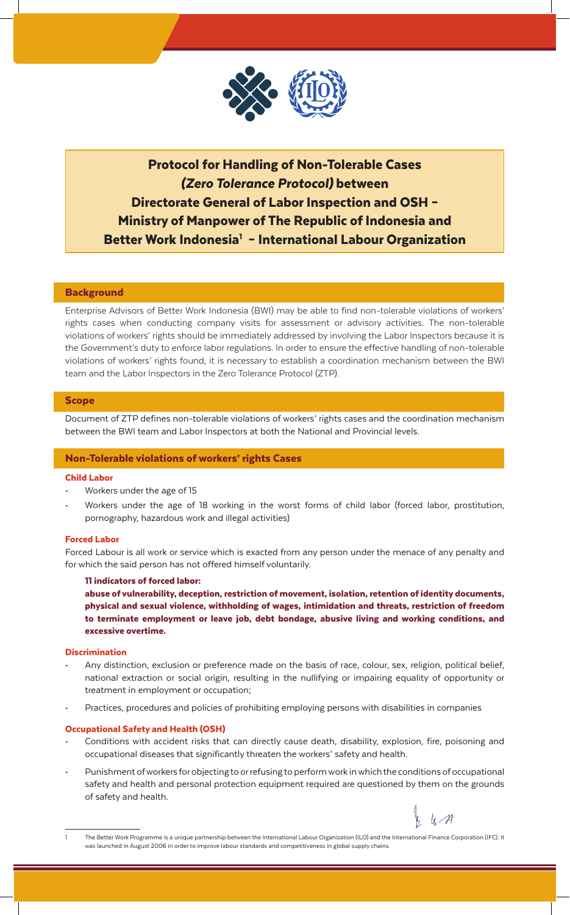

# Protocol for Handling of Non-Tolerable Cases *(Zero Tolerance Protocol)* between Directorate General of Labor Inspection and OSH – Ministry of Manpower of The Republic of Indonesia and Better Work Indonesia<sup>1</sup> - International Labour Organization

# **Background**

Enterprise Advisors of Better Work Indonesia (BWI) may be able to find non-tolerable violations of workers' rights cases when conducting company visits for assessment or advisory activities. The non-tolerable violations of workers' rights should be immediately addressed by involving the Labor Inspectors because it is the Government's duty to enforce labor regulations. In order to ensure the effective handling of non-tolerable violations of workers' rights found, it is necessary to establish a coordination mechanism between the BWI team and the Labor Inspectors in the Zero Tolerance Protocol (ZTP).

## Scope

Document of ZTP defines non-tolerable violations of workers' rights cases and the coordination mechanism between the BWI team and Labor Inspectors at both the National and Provincial levels.

## Non-Tolerable violations of workers' rights Cases

# Child Labor

- Workers under the age of 15
- Workers under the age of 18 working in the worst forms of child labor (forced labor, prostitution, pornography, hazardous work and illegal activities)

## Forced Labor

Forced Labour is all work or service which is exacted from any person under the menace of any penalty and for which the said person has not offered himself voluntarily.

#### 11 indicators of forced labor:

abuse of vulnerability, deception, restriction of movement, isolation, retention of identity documents, physical and sexual violence, withholding of wages, intimidation and threats, restriction of freedom to terminate employment or leave job, debt bondage, abusive living and working conditions, and excessive overtime.

#### **Discrimination**

- Any distinction, exclusion or preference made on the basis of race, colour, sex, religion, political belief, national extraction or social origin, resulting in the nullifying or impairing equality of opportunity or treatment in employment or occupation;
- Practices, procedures and policies of prohibiting employing persons with disabilities in companies

# Occupational Safety and Health (OSH)

- Conditions with accident risks that can directly cause death, disability, explosion, fire, poisoning and occupational diseases that significantly threaten the workers' safety and health.
- Punishment of workers for objecting to or refusing to perform work in which the conditions of occupational safety and health and personal protection equipment required are questioned by them on the grounds of safety and health.

 $k$ 

The Better Work Programme is a unique partnership between the International Labour Organization (ILO) and the International Finance Corporation (IFC). It was launched in August 2006 in order to improve labour standards and competitiveness in global supply chains.